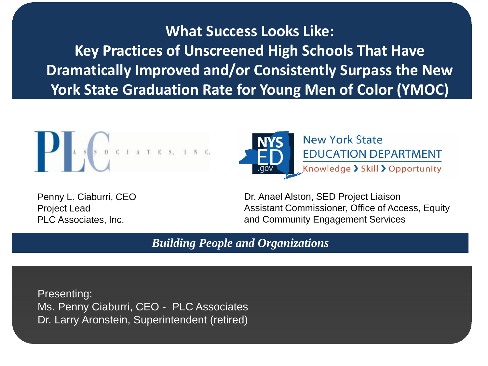**What Success Looks Like: Key Practices of Unscreened High Schools That Have Dramatically Improved and/or Consistently Surpass the New York State Graduation Rate for Young Men of Color (YMOC)**







Dr. Anael Alston, SED Project Liaison Assistant Commissioner, Office of Access, Equity and Community Engagement Services

*Building People and Organizations*

Presenting: Ms. Penny Ciaburri, CEO - PLC Associates Dr. Larry Aronstein, Superintendent (retired)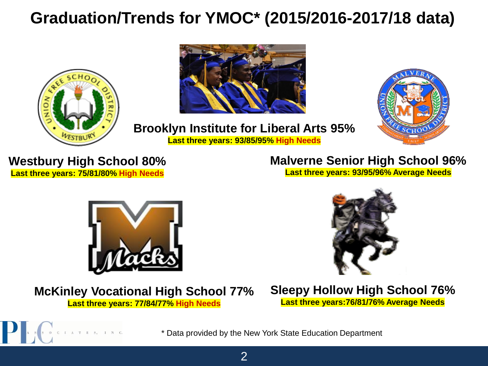## **Graduation/Trends for YMOC\* (2015/2016-2017/18 data)**







2

**Brooklyn Institute for Liberal Arts 95% Last three years: 93/85/95% High Needs**

**Westbury High School 80% Last three years: 75/81/80% High Needs**

 $I$   $A$   $T$   $E$   $S$ ,  $I$ 

## **Malverne Senior High School 96%**

**Last three years: 93/95/96% Average Needs**



## **McKinley Vocational High School 77%**

**Last three years: 77/84/77% High Needs**



**Sleepy Hollow High School 76% Last three years:76/81/76% Average Needs**

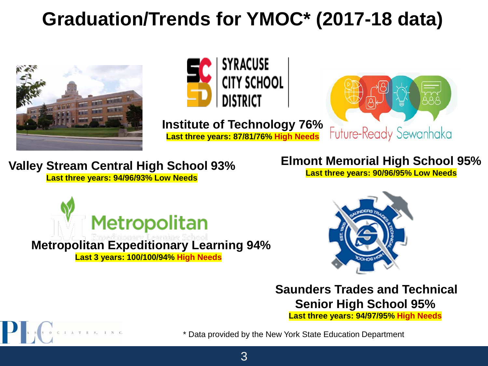# **Graduation/Trends for YMOC\* (2017-18 data)**





**Institute of Technology 76% Last three years: 87/81/76% High Needs**



## **Valley Stream Central High School 93%**

**Last three years: 94/96/93% Low Needs**

## **Elmont Memorial High School 95%**

**Last three years: 90/96/95% Low Needs**



## **Metropolitan Expeditionary Learning 94%**

**Last 3 years: 100/100/94% High Needs**



**Saunders Trades and Technical Senior High School 95%**

**Last three years: 94/97/95% High Needs**

3



\* Data provided by the New York State Education Department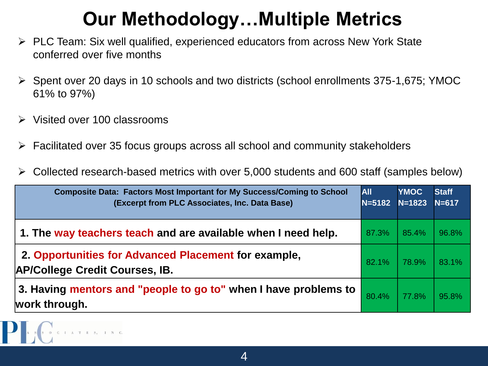# **Our Methodology…Multiple Metrics**

- ➢ PLC Team: Six well qualified, experienced educators from across New York State conferred over five months
- ➢ Spent over 20 days in 10 schools and two districts (school enrollments 375-1,675; YMOC 61% to 97%)
- ➢ Visited over 100 classrooms
- ➢ Facilitated over 35 focus groups across all school and community stakeholders
- ➢ Collected research-based metrics with over 5,000 students and 600 staff (samples below)

| <b>Composite Data: Factors Most Important for My Success/Coming to School</b><br>(Excerpt from PLC Associates, Inc. Data Base) | <b>AII</b><br>$N = 5182$ | <b>YMOC</b><br>$N = 1823$ | <b>Staff</b><br>$N = 617$ |
|--------------------------------------------------------------------------------------------------------------------------------|--------------------------|---------------------------|---------------------------|
| 1. The way teachers teach and are available when I need help.                                                                  | 87.3%                    | 85.4%                     | 96.8%                     |
| 2. Opportunities for Advanced Placement for example,<br><b>AP/College Credit Courses, IB.</b>                                  | 82.1%                    | 78.9%                     | 83.1%                     |
| 3. Having mentors and "people to go to" when I have problems to<br>work through.                                               | 80.4%                    | 77.8%                     | 95.8%                     |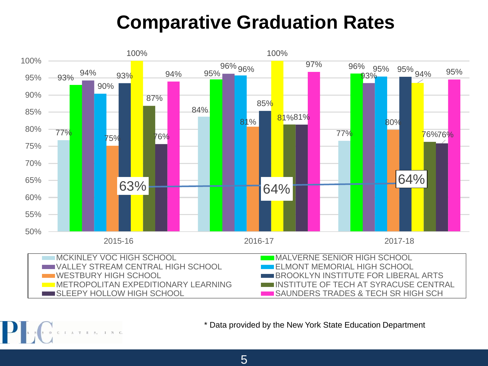## **Comparative Graduation Rates**



\* Data provided by the New York State Education Department

 $\begin{array}{cccccccccccccc} \textbf{I} & \textbf{A} & \textbf{T} & \textbf{E} & \textbf{S} & \textbf{I} \end{array}$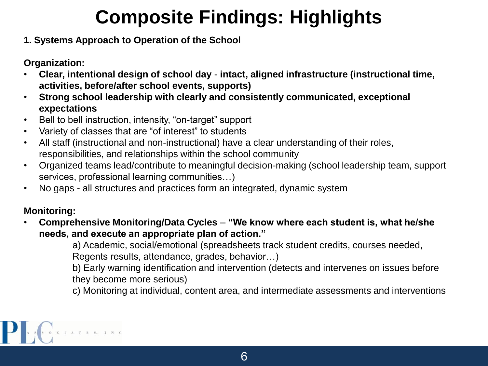# **Composite Findings: Highlights**

**1. Systems Approach to Operation of the School**

**Organization:**

- **Clear, intentional design of school day intact, aligned infrastructure (instructional time, activities, before/after school events, supports)**
- **Strong school leadership with clearly and consistently communicated, exceptional expectations**
- Bell to bell instruction, intensity, "on-target" support
- Variety of classes that are "of interest" to students
- All staff (instructional and non-instructional) have a clear understanding of their roles, responsibilities, and relationships within the school community
- Organized teams lead/contribute to meaningful decision-making (school leadership team, support services, professional learning communities…)
- No gaps all structures and practices form an integrated, dynamic system

#### **Monitoring:**

• **Comprehensive Monitoring/Data Cycles** – **"We know where each student is, what he/she needs, and execute an appropriate plan of action."** 

a) Academic, social/emotional (spreadsheets track student credits, courses needed, Regents results, attendance, grades, behavior…)

b) Early warning identification and intervention (detects and intervenes on issues before they become more serious)

c) Monitoring at individual, content area, and intermediate assessments and interventions

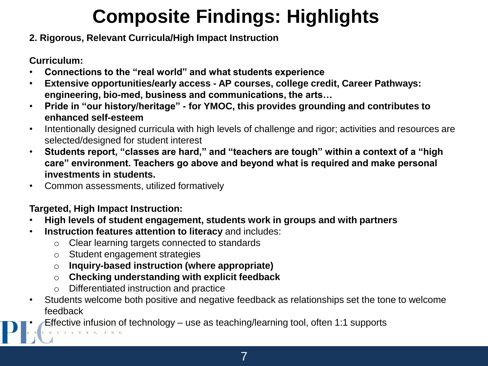# **Composite Findings: Highlights**

#### **2. Rigorous, Relevant Curricula/High Impact Instruction**

**Curriculum:**

- **Connections to the "real world" and what students experience**
- **Extensive opportunities/early access - AP courses, college credit, Career Pathways: engineering, bio-med, business and communications, the arts…**
- **Pride in "our history/heritage" - for YMOC, this provides grounding and contributes to enhanced self-esteem**
- Intentionally designed curricula with high levels of challenge and rigor; activities and resources are selected/designed for student interest
- **Students report, "classes are hard," and "teachers are tough" within a context of a "high care" environment. Teachers go above and beyond what is required and make personal investments in students.**
- Common assessments, utilized formatively

#### **Targeted, High Impact Instruction:**

- **High levels of student engagement, students work in groups and with partners**
- **Instruction features attention to literacy** and includes:
	- o Clear learning targets connected to standards
	- o Student engagement strategies
	- o **Inquiry-based instruction (where appropriate)**
	- o **Checking understanding with explicit feedback**
	- o Differentiated instruction and practice
- Students welcome both positive and negative feedback as relationships set the tone to welcome feedback

• Effective infusion of technology – use as teaching/learning tool, often 1:1 supports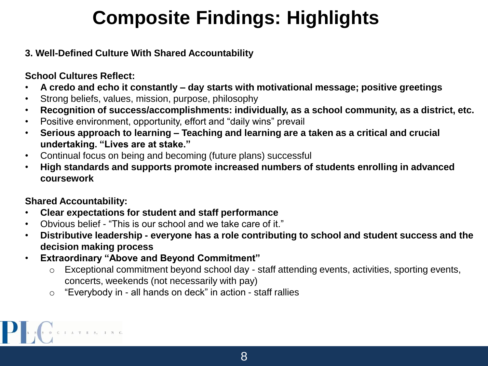# **Composite Findings: Highlights**

#### **3. Well-Defined Culture With Shared Accountability**

#### **School Cultures Reflect:**

- **A credo and echo it constantly – day starts with motivational message; positive greetings**
- Strong beliefs, values, mission, purpose, philosophy
- **Recognition of success/accomplishments: individually, as a school community, as a district, etc.**
- Positive environment, opportunity, effort and "daily wins" prevail
- **Serious approach to learning – Teaching and learning are a taken as a critical and crucial undertaking. "Lives are at stake."**
- Continual focus on being and becoming (future plans) successful
- **High standards and supports promote increased numbers of students enrolling in advanced coursework**

#### **Shared Accountability:**

- **Clear expectations for student and staff performance**
- Obvious belief "This is our school and we take care of it."
- **Distributive leadership - everyone has a role contributing to school and student success and the decision making process**
- **Extraordinary "Above and Beyond Commitment"**
	- o Exceptional commitment beyond school day staff attending events, activities, sporting events, concerts, weekends (not necessarily with pay)
	- o "Everybody in all hands on deck" in action staff rallies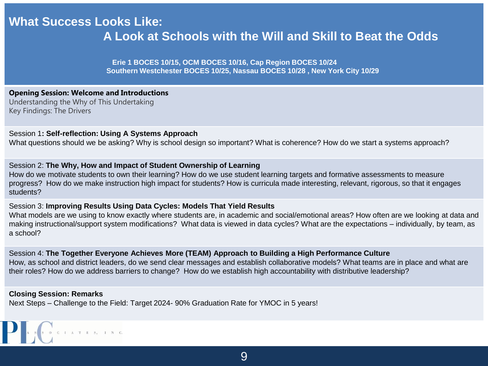### **What Success Looks Like: A Look at Schools with the Will and Skill to Beat the Odds**

**Erie 1 BOCES 10/15, OCM BOCES 10/16, Cap Region BOCES 10/24 Southern Westchester BOCES 10/25, Nassau BOCES 10/28 , New York City 10/29** 

#### **Opening Session: Welcome and Introductions**

Understanding the Why of This Undertaking Key Findings: The Drivers

#### Session 1**: Self-reflection: Using A Systems Approach**

What questions should we be asking? Why is school design so important? What is coherence? How do we start a systems approach?

#### Session 2: **The Why, How and Impact of Student Ownership of Learning**

How do we motivate students to own their learning? How do we use student learning targets and formative assessments to measure progress? How do we make instruction high impact for students? How is curricula made interesting, relevant, rigorous, so that it engages students?

#### Session 3: **Improving Results Using Data Cycles: Models That Yield Results**

What models are we using to know exactly where students are, in academic and social/emotional areas? How often are we looking at data and making instructional/support system modifications? What data is viewed in data cycles? What are the expectations – individually, by team, as a school?

Session 4: **The Together Everyone Achieves More (TEAM) Approach to Building a High Performance Culture**  How, as school and district leaders, do we send clear messages and establish collaborative models? What teams are in place and what are their roles? How do we address barriers to change? How do we establish high accountability with distributive leadership?

#### **Closing Session: Remarks**

Next Steps – Challenge to the Field: Target 2024- 90% Graduation Rate for YMOC in 5 years!